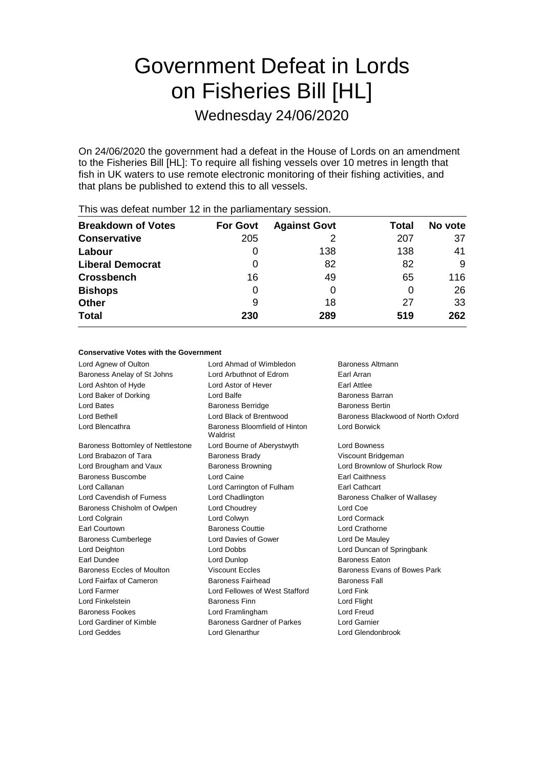## Government Defeat in Lords on Fisheries Bill [HL]

Wednesday 24/06/2020

On 24/06/2020 the government had a defeat in the House of Lords on an amendment to the Fisheries Bill [HL]: To require all fishing vessels over 10 metres in length that fish in UK waters to use remote electronic monitoring of their fishing activities, and that plans be published to extend this to all vessels.

| <b>Breakdown of Votes</b> | <b>For Govt</b> | <b>Against Govt</b> | Total | No vote |
|---------------------------|-----------------|---------------------|-------|---------|
| <b>Conservative</b>       | 205             |                     | 207   | 37      |
| Labour                    | O               | 138                 | 138   | 41      |
| <b>Liberal Democrat</b>   | 0               | 82                  | 82    | 9       |
| <b>Crossbench</b>         | 16              | 49                  | 65    | 116     |
| <b>Bishops</b>            | 0               | 0                   | 0     | 26      |
| <b>Other</b>              | 9               | 18                  | 27    | 33      |
| <b>Total</b>              | 230             | 289                 | 519   | 262     |
|                           |                 |                     |       |         |

This was defeat number 12 in the parliamentary session.

#### **Conservative Votes with the Government**

| Lord Agnew of Oulton                     | Lord Ahmad of Wimbledon                   | Baroness Altmann                   |
|------------------------------------------|-------------------------------------------|------------------------------------|
| Baroness Anelay of St Johns              | Lord Arbuthnot of Edrom                   | Earl Arran                         |
| Lord Ashton of Hyde                      | Lord Astor of Hever                       | Earl Attlee                        |
| Lord Baker of Dorking                    | Lord Balfe                                | Baroness Barran                    |
| Lord Bates                               | <b>Baroness Berridge</b>                  | <b>Baroness Bertin</b>             |
| Lord Bethell                             | Lord Black of Brentwood                   | Baroness Blackwood of North Oxford |
| Lord Blencathra                          | Baroness Bloomfield of Hinton<br>Waldrist | Lord Borwick                       |
| <b>Baroness Bottomley of Nettlestone</b> | Lord Bourne of Aberystwyth                | <b>Lord Bowness</b>                |
| Lord Brabazon of Tara                    | <b>Baroness Brady</b>                     | Viscount Bridgeman                 |
| Lord Brougham and Vaux                   | <b>Baroness Browning</b>                  | Lord Brownlow of Shurlock Row      |
| Baroness Buscombe                        | Lord Caine                                | <b>Earl Caithness</b>              |
| Lord Callanan                            | Lord Carrington of Fulham                 | <b>Earl Cathcart</b>               |
| Lord Cavendish of Furness                | Lord Chadlington                          | Baroness Chalker of Wallasey       |
| Baroness Chisholm of Owlpen              | Lord Choudrey                             | Lord Coe                           |
| Lord Colgrain                            | Lord Colwyn                               | Lord Cormack                       |
| Earl Courtown                            | <b>Baroness Couttie</b>                   | Lord Crathorne                     |
| <b>Baroness Cumberlege</b>               | Lord Davies of Gower                      | Lord De Mauley                     |
| Lord Deighton                            | <b>Lord Dobbs</b>                         | Lord Duncan of Springbank          |
| Earl Dundee                              | Lord Dunlop                               | <b>Baroness Faton</b>              |
| Baroness Eccles of Moulton               | <b>Viscount Eccles</b>                    | Baroness Evans of Bowes Park       |
| Lord Fairfax of Cameron                  | <b>Baroness Fairhead</b>                  | <b>Baroness Fall</b>               |
| Lord Farmer                              | Lord Fellowes of West Stafford            | Lord Fink                          |
| Lord Finkelstein                         | <b>Baroness Finn</b>                      | Lord Flight                        |
| <b>Baroness Fookes</b>                   | Lord Framlingham                          | Lord Freud                         |
| Lord Gardiner of Kimble                  | Baroness Gardner of Parkes                | Lord Garnier                       |
| Lord Geddes                              | <b>Lord Glenarthur</b>                    | Lord Glendonbrook                  |
|                                          |                                           |                                    |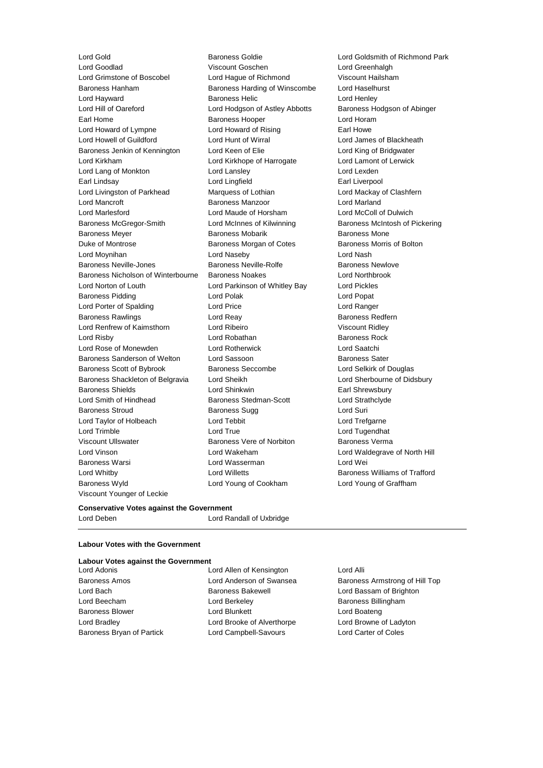Lord Gold Baroness Goldie Lord Goldsmith of Richmond Park Lord Goodlad Viscount Goschen Lord Greenhalgh Lord Grimstone of Boscobel Lord Hague of Richmond Viscount Hailsham Baroness Hanham Baroness Harding of Winscombe Lord Haselhurst Lord Hayward Baroness Helic Lord Henley Lord Hill of Oareford Lord Hodgson of Astley Abbotts Baroness Hodgson of Abinger Earl Home **Baroness Hooper Baroness Hooper Lord Horam** Lord Howard of Lympne Lord Howard of Rising Earl Howe Lord Howell of Guildford Lord Hunt of Wirral Lord James of Blackheath Baroness Jenkin of Kennington Lord Keen of Elie Lord King of Bridgwater Lord Kirkham Lord Kirkhope of Harrogate Lord Lamont of Lerwick Lord Lang of Monkton **Lord Lansley** Lord Lexden Earl Lindsay Lord Lingfield Earl Liverpool Lord Livingston of Parkhead Marquess of Lothian Cord Mackay of Clashfern Lord Mancroft **Baroness Manzoor** Lord Marland Lord Marlesford Lord Maude of Horsham Lord McColl of Dulwich Baroness McGregor-Smith Lord McInnes of Kilwinning Baroness McIntosh of Pickering Baroness Meyer **Baroness Mobarik** Baroness Mobarik Baroness Mone Duke of Montrose Baroness Morgan of Cotes Baroness Morris of Bolton Lord Moynihan Lord Naseby Lord Nash Baroness Neville-Jones **Baroness Neville-Rolfe** Baroness Newlove Baroness Nicholson of Winterbourne Baroness Noakes Lord Northbrook Lord Norton of Louth Lord Parkinson of Whitley Bay Lord Pickles Baroness Pidding **Lord Polace Contract Contract Lord Polace Contract Contract Contract Contract Contract Contract Contract Contract Contract Contract Contract Contract Contract Contract Contract Contract Contract Contract** Lord Porter of Spalding Lord Price Lord Ranger Baroness Rawlings **Example 20** Lord Reay **Baroness Redfern** Lord Renfrew of Kaimsthorn Lord Ribeiro Viscount Ridley Lord Risby **Lord Robathan** Baroness Rock **Container Baroness Rock** Lord Rose of Monewden Lord Rotherwick Lord Saatchi Baroness Sanderson of Welton Lord Sassoon and Baroness Sater Baroness Scott of Bybrook Baroness Seccombe Lord Selkirk of Douglas Baroness Shackleton of Belgravia Lord Sheikh Lord Sherbourne of Didsbury Baroness Shields **Lord Shinkwin** Earl Shrewsbury Lord Smith of Hindhead Baroness Stedman-Scott Lord Strathclyde Baroness Stroud **Baroness Sugg Contains Baroness Sugg** Lord Suri Lord Taylor of Holbeach Lord Tebbit Lord Trefgarne Lord Trimble Lord True Lord Tugendhat Viscount Ullswater **Baroness Vere of Norbiton** Baroness Verma Lord Vinson Lord Wakeham Lord Waldegrave of North Hill Baroness Warsi Lord Wasserman Lord Wei Lord Whitby Lord Willetts Baroness Williams of Trafford Baroness Wyld Lord Young of Cookham Lord Young of Graffham Viscount Younger of Leckie

#### **Conservative Votes against the Government**

Lord Deben Lord Randall of Uxbridge

#### **Labour Votes with the Government**

#### **Labour Votes against the Government**

Baroness Bryan of Partick Lord Campbell-Savours Lord Carter of Coles

Lord Adonis Lord Allen of Kensington Lord Alli Lord Bach Baroness Bakewell Lord Bassam of Brighton Lord Beecham **Lord Berkeley Baroness Billingham** Baroness Blower **Lord Blunkett** Lord Boateng Lord Boateng Lord Bradley Lord Brooke of Alverthorpe Lord Browne of Ladyton

# Baroness Amos Lord Anderson of Swansea Baroness Armstrong of Hill Top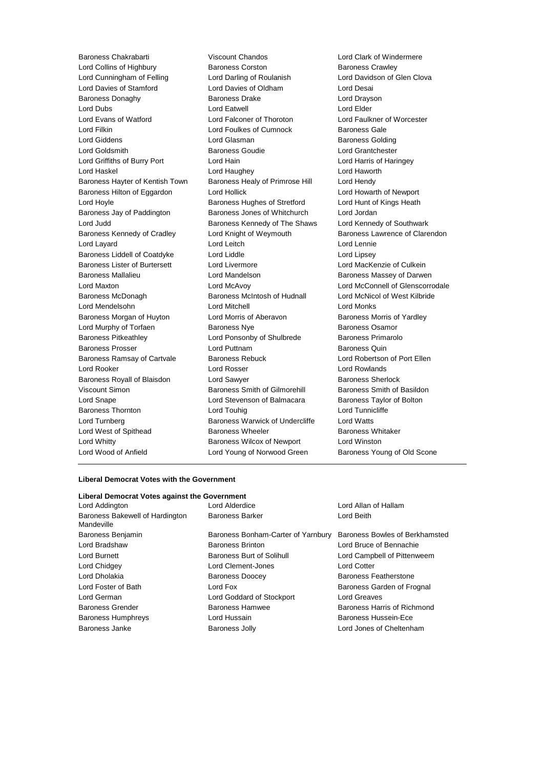Baroness Chakrabarti Viscount Chandos Lord Clark of Windermere Lord Collins of Highbury Baroness Corston Baroness Crawley Lord Cunningham of Felling Lord Darling of Roulanish Lord Davidson of Glen Clova Lord Davies of Stamford Lord Davies of Oldham Lord Desai Baroness Donaghy **Baroness Drake** Lord Drayson Lord Dubs Lord Eatwell Lord Elder Lord Evans of Watford Lord Falconer of Thoroton Lord Faulkner of Worcester Lord Filkin Lord Foulkes of Cumnock Baroness Gale Lord Giddens Lord Glasman Baroness Golding Lord Goldsmith Baroness Goudie Lord Grantchester Lord Griffiths of Burry Port Lord Hain Lord Harris of Haringey Lord Haskel Lord Haughey Lord Haworth Baroness Hayter of Kentish Town Baroness Healy of Primrose Hill Lord Hendy Baroness Hilton of Eggardon Lord Hollick Lord Howarth of Newport Lord Hoyle **Baroness Hughes of Stretford** Lord Hunt of Kings Heath Lord Hunt of Kings Heath Baroness Jay of Paddington Baroness Jones of Whitchurch Lord Jordan Lord Judd **Baroness Kennedy of The Shaws** Lord Kennedy of Southwark Baroness Kennedy of Cradley **Lord Knight of Weymouth** Baroness Lawrence of Clarendon Lord Layard **Lord Leitch** Lord Leitch **Lord Lennie** Baroness Liddell of Coatdyke Lord Liddle Lord Lipsey Baroness Lister of Burtersett Lord Livermore Lord MacKenzie of Culkein Baroness Mallalieu **Baroness Mandelson** Lord Mandelson Baroness Massey of Darwen Lord Maxton Lord McAvoy Lord McConnell of Glenscorrodale Baroness McDonagh Baroness McIntosh of Hudnall Lord McNicol of West Kilbride Lord Mendelsohn Lord Mitchell Lord Monks Baroness Morgan of Huyton Lord Morris of Aberavon Baroness Morris of Yardley Lord Murphy of Torfaen **Baroness Nye** Baroness Osamor Baroness Pitkeathley Lord Ponsonby of Shulbrede Baroness Primarolo Baroness Prosser **Example 2** Lord Puttnam **Baroness Quin** Baroness Quin Baroness Ramsay of Cartvale Baroness Rebuck Lord Robertson of Port Ellen Lord Rooker Lord Rosser Lord Rowlands Baroness Royall of Blaisdon Lord Sawyer **Baroness Sherlock** Baroness Sherlock Viscount Simon **Baroness Smith of Gilmorehill** Baroness Smith of Basildon Lord Snape Lord Stevenson of Balmacara Baroness Taylor of Bolton Baroness Thornton **Lord Touhig** Lord Touhig Lord Tunnicliffe Lord Turnberg Baroness Warwick of Undercliffe Lord Watts Lord West of Spithead **Baroness Wheeler** Baroness Wheeler Baroness Whitaker Lord Whitty Baroness Wilcox of Newport Lord Winston Lord Wood of Anfield **Lord Young of Norwood Green** Baroness Young of Old Scone

#### **Liberal Democrat Votes with the Government**

| Liberal Democrat Votes against the Government |                                    |                                |  |  |  |  |
|-----------------------------------------------|------------------------------------|--------------------------------|--|--|--|--|
| Lord Addington                                | Lord Alderdice                     | Lord Allan of Hallam           |  |  |  |  |
| Baroness Bakewell of Hardington<br>Mandeville | Baroness Barker                    | Lord Beith                     |  |  |  |  |
| Baroness Benjamin                             | Baroness Bonham-Carter of Yarnbury | Baroness Bowles of Berkhamsted |  |  |  |  |
| Lord Bradshaw                                 | <b>Baroness Brinton</b>            | Lord Bruce of Bennachie        |  |  |  |  |
| Lord Burnett                                  | Baroness Burt of Solihull          | Lord Campbell of Pittenweem    |  |  |  |  |
| Lord Chidgey                                  | Lord Clement-Jones                 | <b>Lord Cotter</b>             |  |  |  |  |
| Lord Dholakia                                 | <b>Baroness Doocey</b>             | Baroness Featherstone          |  |  |  |  |
| Lord Foster of Bath                           | Lord Fox                           | Baroness Garden of Frognal     |  |  |  |  |
| Lord German                                   | Lord Goddard of Stockport          | Lord Greaves                   |  |  |  |  |
| <b>Baroness Grender</b>                       | Baroness Hamwee                    | Baroness Harris of Richmond    |  |  |  |  |
| <b>Baroness Humphreys</b>                     | Lord Hussain                       | Baroness Hussein-Ece           |  |  |  |  |
| Baroness Janke                                | Baroness Jolly                     | Lord Jones of Cheltenham       |  |  |  |  |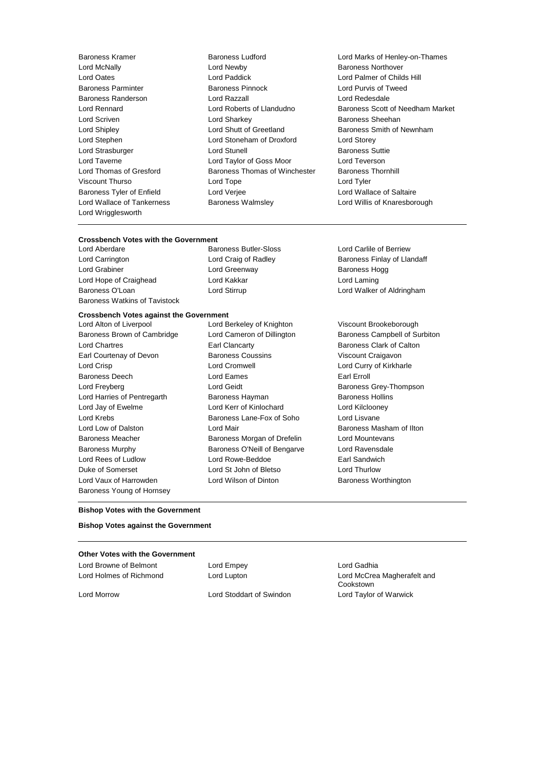Lord Wrigglesworth

Lord Newby **Baroness Northover**<br>
Lord Paddick **Baroness Lord Palmer of Chilc** Lord Oates Lord Paddick Lord Palmer of Childs Hill Baroness Parminter Baroness Pinnock Lord Purvis of Tweed Baroness Randerson Lord Razzall Lord Redesdale Lord Scriven Lord Sharkey Baroness Sheehan Lord Shipley Lord Shutt of Greetland Baroness Smith of Newnham Lord Stephen Lord Stoneham of Droxford Lord Storey Lord Strasburger Lord Stunell Baroness Suttie Lord Taverne Lord Taylor of Goss Moor Lord Teverson Lord Thomas of Gresford **Baroness Thomas of Winchester** Baroness Thornhill Viscount Thurso Lord Tope Lord Tyler Baroness Tyler of Enfield Lord Verjee Lord Wallace of Saltaire Lord Wallace of Tankerness Baroness Walmsley Lord Willis of Knaresborough

Baroness Kramer **Baroness Ludford** Baroness Ludford Lord Marks of Henley-on-Thames<br>
Lord McNally Lord Newby<br>
Baroness Northover Lord Rennard Lord Roberts of Llandudno Baroness Scott of Needham Market

### **Crossbench Votes with the Government**

Lord Carrington **Lord Craig of Radley Baroness Finlay of Llandaff Leader Leader Baroness Finlay of Llandaff** Lord Grabiner **Lord Greenway Conserverse Example 20** also because the Baroness Hogg Lord Hope of Craighead Lord Kakkar Lord Laming Baroness O'Loan **Lord Stirrup** Lord Communication Constantingham Lord Walker of Aldringham Baroness Watkins of Tavistock

Baroness Butler-Sloss Lord Carlile of Berriew

#### **Crossbench Votes against the Government**

Baroness Brown of Cambridge Lord Cameron of Dillington Baroness Campbell of Surbiton Lord Chartres Earl Clancarty Baroness Clark of Calton Earl Courtenay of Devon Baroness Coussins Viscount Craigavon Lord Crisp Lord Cromwell Lord Curry of Kirkharle Baroness Deech **Lord Eames Earl Erroll** Lord Freyberg **Lord Geidt** Baroness Grey-Thompson Lord Harries of Pentregarth Baroness Hayman Baroness Hollins Lord Jay of Ewelme Lord Kerr of Kinlochard Lord Kilclooney Lord Krebs Baroness Lane-Fox of Soho Lord Lisvane Lord Low of Dalston **Lord Mair** Baroness Masham of Ilton Lord Mair Baroness Masham of Ilton Baroness Meacher **Baroness Morgan of Drefelin** Lord Mountevans Baroness Murphy Baroness O'Neill of Bengarve Lord Ravensdale Lord Rees of Ludlow Lord Rowe-Beddoe **Earl Sandwich** Duke of Somerset Lord St John of Bletso Lord Thurlow Lord Vaux of Harrowden **Lord Wilson of Dinton** Baroness Worthington Baroness Young of Hornsey

Lord Alton of Liverpool Lord Berkeley of Knighton Viscount Brookeborough

#### **Bishop Votes with the Government**

**Bishop Votes against the Government**

#### **Other Votes with the Government**

Lord Browne of Belmont **Lord Empey Lord Empey Lord Gadhia** 

Lord Holmes of Richmond Lord Lupton Lord McCrea Magherafelt and Cookstown Lord Morrow Lord Stoddart of Swindon Lord Taylor of Warwick